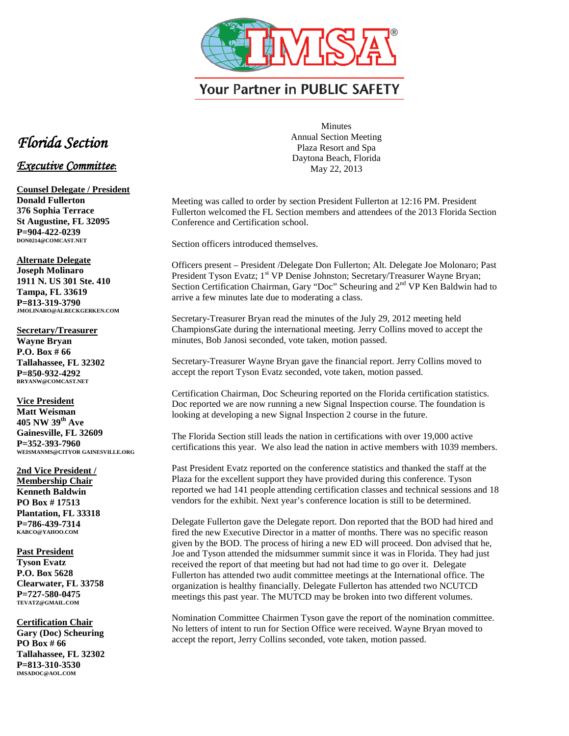

**Your Partner in PUBLIC SAFETY** 

## *Florida Section*

## *Executive Committee***:**

**Counsel Delegate / President Donald Fullerton 376 Sophia Terrace St Augustine, FL 32095 P=904-422-0239 DON0214@COMCAST.NET**

**Alternate Delegate Joseph Molinaro 1911 N. US 301 Ste. 410 Tampa, FL 33619 P=813-319-3790 JMOLINARO@ALBECKGERKEN.COM**

**Secretary/Treasurer Wayne Bryan P.O. Box # 66 Tallahassee, FL 32302 P=850-932-4292 BRYANW@COMCAST.NET**

**Vice President Matt Weisman 405 NW 39th Ave Gainesville, FL 32609 P=352-393-7960 WEISMANMS@CITYOR GAINESVILLE.ORG**

**2nd Vice President / Membership Chair Kenneth Baldwin PO Box # 17513 Plantation, FL 33318 P=786-439-7314 KABCO@YAHOO.COM**

**Past President Tyson Evatz P.O. Box 5628 Clearwater, FL 33758 P=727-580-0475 TEVATZ@GMAIL.COM**

**Certification Chair Gary (Doc) Scheuring PO Box # 66 Tallahassee, FL 32302 P=813-310-3530 IMSADOC@AOL.COM**

**Minutes** Annual Section Meeting Plaza Resort and Spa Daytona Beach, Florida May 22, 2013

Meeting was called to order by section President Fullerton at 12:16 PM. President Fullerton welcomed the FL Section members and attendees of the 2013 Florida Section Conference and Certification school.

Section officers introduced themselves.

Officers present – President /Delegate Don Fullerton; Alt. Delegate Joe Molonaro; Past President Tyson Evatz; 1<sup>st</sup> VP Denise Johnston; Secretary/Treasurer Wayne Bryan; Section Certification Chairman, Gary "Doc" Scheuring and 2<sup>nd</sup> VP Ken Baldwin had to arrive a few minutes late due to moderating a class.

Secretary-Treasurer Bryan read the minutes of the July 29, 2012 meeting held ChampionsGate during the international meeting. Jerry Collins moved to accept the minutes, Bob Janosi seconded, vote taken, motion passed.

Secretary-Treasurer Wayne Bryan gave the financial report. Jerry Collins moved to accept the report Tyson Evatz seconded, vote taken, motion passed.

Certification Chairman, Doc Scheuring reported on the Florida certification statistics. Doc reported we are now running a new Signal Inspection course. The foundation is looking at developing a new Signal Inspection 2 course in the future.

The Florida Section still leads the nation in certifications with over 19,000 active certifications this year. We also lead the nation in active members with 1039 members.

Past President Evatz reported on the conference statistics and thanked the staff at the Plaza for the excellent support they have provided during this conference. Tyson reported we had 141 people attending certification classes and technical sessions and 18 vendors for the exhibit. Next year's conference location is still to be determined.

Delegate Fullerton gave the Delegate report. Don reported that the BOD had hired and fired the new Executive Director in a matter of months. There was no specific reason given by the BOD. The process of hiring a new ED will proceed. Don advised that he, Joe and Tyson attended the midsummer summit since it was in Florida. They had just received the report of that meeting but had not had time to go over it. Delegate Fullerton has attended two audit committee meetings at the International office. The organization is healthy financially. Delegate Fullerton has attended two NCUTCD meetings this past year. The MUTCD may be broken into two different volumes.

Nomination Committee Chairmen Tyson gave the report of the nomination committee. No letters of intent to run for Section Office were received. Wayne Bryan moved to accept the report, Jerry Collins seconded, vote taken, motion passed.